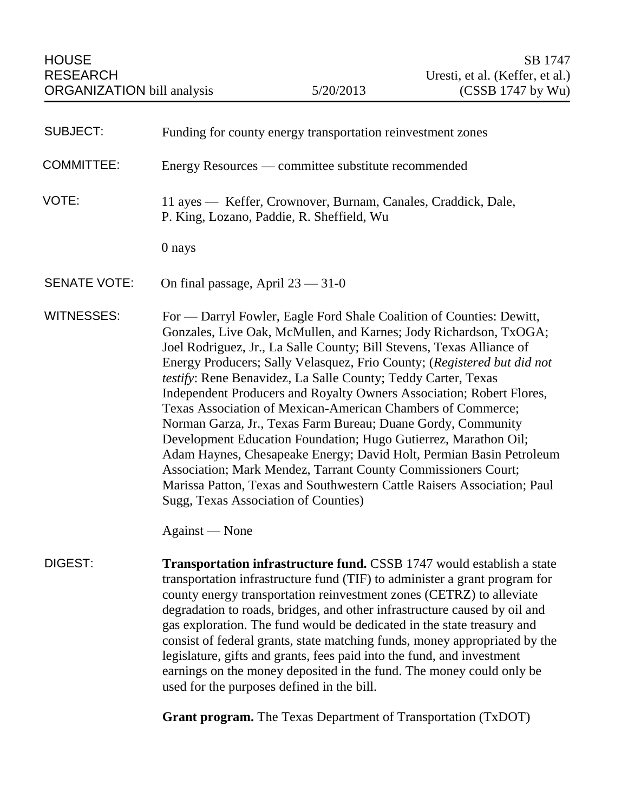| <b>SUBJECT:</b>     | Funding for county energy transportation reinvestment zones                                                                                                                                                                                                                                                                                                                                                                                                                                                                                                                                                                                                                                                                                                                                                                                                                                         |
|---------------------|-----------------------------------------------------------------------------------------------------------------------------------------------------------------------------------------------------------------------------------------------------------------------------------------------------------------------------------------------------------------------------------------------------------------------------------------------------------------------------------------------------------------------------------------------------------------------------------------------------------------------------------------------------------------------------------------------------------------------------------------------------------------------------------------------------------------------------------------------------------------------------------------------------|
| <b>COMMITTEE:</b>   | Energy Resources — committee substitute recommended                                                                                                                                                                                                                                                                                                                                                                                                                                                                                                                                                                                                                                                                                                                                                                                                                                                 |
| VOTE:               | 11 ayes — Keffer, Crownover, Burnam, Canales, Craddick, Dale,<br>P. King, Lozano, Paddie, R. Sheffield, Wu                                                                                                                                                                                                                                                                                                                                                                                                                                                                                                                                                                                                                                                                                                                                                                                          |
|                     | 0 nays                                                                                                                                                                                                                                                                                                                                                                                                                                                                                                                                                                                                                                                                                                                                                                                                                                                                                              |
| <b>SENATE VOTE:</b> | On final passage, April $23 - 31 - 0$                                                                                                                                                                                                                                                                                                                                                                                                                                                                                                                                                                                                                                                                                                                                                                                                                                                               |
| <b>WITNESSES:</b>   | For — Darryl Fowler, Eagle Ford Shale Coalition of Counties: Dewitt,<br>Gonzales, Live Oak, McMullen, and Karnes; Jody Richardson, TxOGA;<br>Joel Rodriguez, Jr., La Salle County; Bill Stevens, Texas Alliance of<br>Energy Producers; Sally Velasquez, Frio County; (Registered but did not<br>testify: Rene Benavidez, La Salle County; Teddy Carter, Texas<br>Independent Producers and Royalty Owners Association; Robert Flores,<br>Texas Association of Mexican-American Chambers of Commerce;<br>Norman Garza, Jr., Texas Farm Bureau; Duane Gordy, Community<br>Development Education Foundation; Hugo Gutierrez, Marathon Oil;<br>Adam Haynes, Chesapeake Energy; David Holt, Permian Basin Petroleum<br>Association; Mark Mendez, Tarrant County Commissioners Court;<br>Marissa Patton, Texas and Southwestern Cattle Raisers Association; Paul<br>Sugg, Texas Association of Counties) |
|                     | Against - None                                                                                                                                                                                                                                                                                                                                                                                                                                                                                                                                                                                                                                                                                                                                                                                                                                                                                      |
| DIGEST:             | <b>Transportation infrastructure fund.</b> CSSB 1747 would establish a state<br>transportation infrastructure fund (TIF) to administer a grant program for<br>county energy transportation reinvestment zones (CETRZ) to alleviate<br>degradation to roads, bridges, and other infrastructure caused by oil and<br>gas exploration. The fund would be dedicated in the state treasury and<br>consist of federal grants, state matching funds, money appropriated by the<br>legislature, gifts and grants, fees paid into the fund, and investment<br>earnings on the money deposited in the fund. The money could only be<br>used for the purposes defined in the bill.                                                                                                                                                                                                                             |
|                     | <b>Grant program.</b> The Texas Department of Transportation (TxDOT)                                                                                                                                                                                                                                                                                                                                                                                                                                                                                                                                                                                                                                                                                                                                                                                                                                |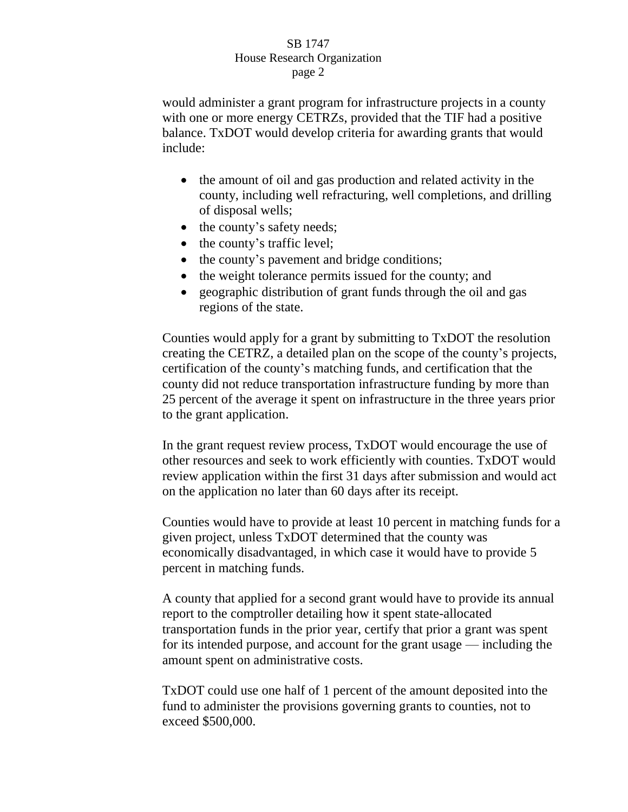would administer a grant program for infrastructure projects in a county with one or more energy CETRZs, provided that the TIF had a positive balance. TxDOT would develop criteria for awarding grants that would include:

- the amount of oil and gas production and related activity in the county, including well refracturing, well completions, and drilling of disposal wells;
- the county's safety needs;
- $\bullet$  the county's traffic level;
- the county's pavement and bridge conditions;
- the weight tolerance permits issued for the county; and
- geographic distribution of grant funds through the oil and gas regions of the state.

Counties would apply for a grant by submitting to TxDOT the resolution creating the CETRZ, a detailed plan on the scope of the county's projects, certification of the county's matching funds, and certification that the county did not reduce transportation infrastructure funding by more than 25 percent of the average it spent on infrastructure in the three years prior to the grant application.

In the grant request review process, TxDOT would encourage the use of other resources and seek to work efficiently with counties. TxDOT would review application within the first 31 days after submission and would act on the application no later than 60 days after its receipt.

Counties would have to provide at least 10 percent in matching funds for a given project, unless TxDOT determined that the county was economically disadvantaged, in which case it would have to provide 5 percent in matching funds.

A county that applied for a second grant would have to provide its annual report to the comptroller detailing how it spent state-allocated transportation funds in the prior year, certify that prior a grant was spent for its intended purpose, and account for the grant usage — including the amount spent on administrative costs.

TxDOT could use one half of 1 percent of the amount deposited into the fund to administer the provisions governing grants to counties, not to exceed \$500,000.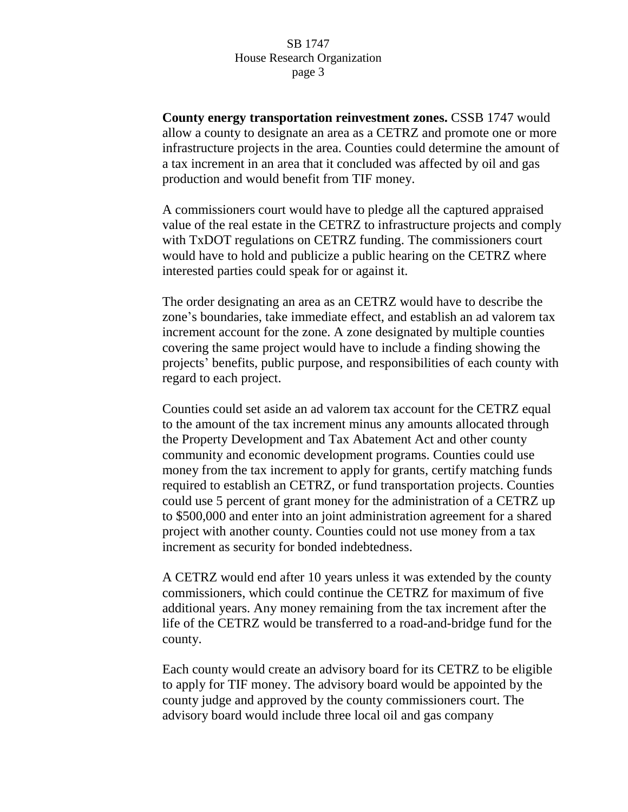**County energy transportation reinvestment zones.** CSSB 1747 would allow a county to designate an area as a CETRZ and promote one or more infrastructure projects in the area. Counties could determine the amount of a tax increment in an area that it concluded was affected by oil and gas production and would benefit from TIF money.

A commissioners court would have to pledge all the captured appraised value of the real estate in the CETRZ to infrastructure projects and comply with TxDOT regulations on CETRZ funding. The commissioners court would have to hold and publicize a public hearing on the CETRZ where interested parties could speak for or against it.

The order designating an area as an CETRZ would have to describe the zone's boundaries, take immediate effect, and establish an ad valorem tax increment account for the zone. A zone designated by multiple counties covering the same project would have to include a finding showing the projects' benefits, public purpose, and responsibilities of each county with regard to each project.

Counties could set aside an ad valorem tax account for the CETRZ equal to the amount of the tax increment minus any amounts allocated through the Property Development and Tax Abatement Act and other county community and economic development programs. Counties could use money from the tax increment to apply for grants, certify matching funds required to establish an CETRZ, or fund transportation projects. Counties could use 5 percent of grant money for the administration of a CETRZ up to \$500,000 and enter into an joint administration agreement for a shared project with another county. Counties could not use money from a tax increment as security for bonded indebtedness.

A CETRZ would end after 10 years unless it was extended by the county commissioners, which could continue the CETRZ for maximum of five additional years. Any money remaining from the tax increment after the life of the CETRZ would be transferred to a road-and-bridge fund for the county.

Each county would create an advisory board for its CETRZ to be eligible to apply for TIF money. The advisory board would be appointed by the county judge and approved by the county commissioners court. The advisory board would include three local oil and gas company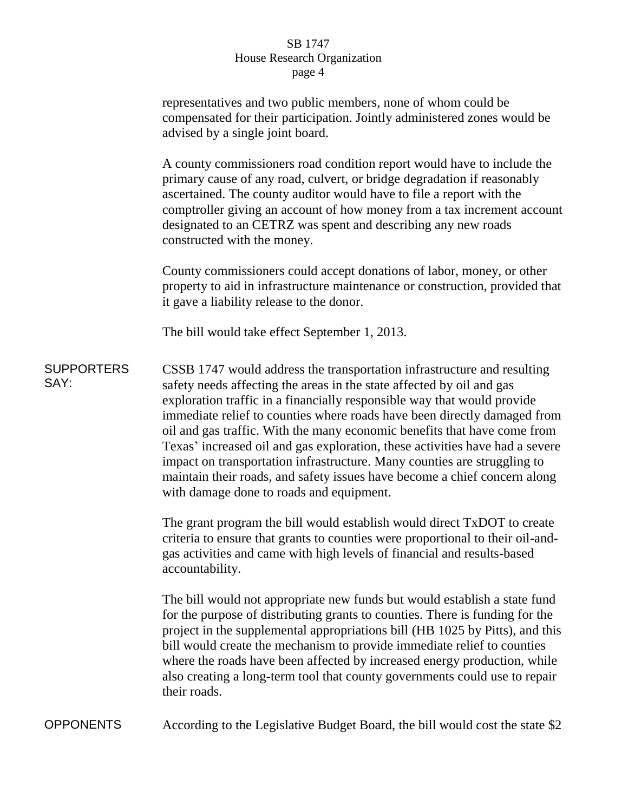|                           | representatives and two public members, none of whom could be<br>compensated for their participation. Jointly administered zones would be<br>advised by a single joint board.                                                                                                                                                                                                                                                                                                                                                                                                                                                                                            |
|---------------------------|--------------------------------------------------------------------------------------------------------------------------------------------------------------------------------------------------------------------------------------------------------------------------------------------------------------------------------------------------------------------------------------------------------------------------------------------------------------------------------------------------------------------------------------------------------------------------------------------------------------------------------------------------------------------------|
|                           | A county commissioners road condition report would have to include the<br>primary cause of any road, culvert, or bridge degradation if reasonably<br>ascertained. The county auditor would have to file a report with the<br>comptroller giving an account of how money from a tax increment account<br>designated to an CETRZ was spent and describing any new roads<br>constructed with the money.                                                                                                                                                                                                                                                                     |
|                           | County commissioners could accept donations of labor, money, or other<br>property to aid in infrastructure maintenance or construction, provided that<br>it gave a liability release to the donor.                                                                                                                                                                                                                                                                                                                                                                                                                                                                       |
|                           | The bill would take effect September 1, 2013.                                                                                                                                                                                                                                                                                                                                                                                                                                                                                                                                                                                                                            |
| <b>SUPPORTERS</b><br>SAY: | CSSB 1747 would address the transportation infrastructure and resulting<br>safety needs affecting the areas in the state affected by oil and gas<br>exploration traffic in a financially responsible way that would provide<br>immediate relief to counties where roads have been directly damaged from<br>oil and gas traffic. With the many economic benefits that have come from<br>Texas' increased oil and gas exploration, these activities have had a severe<br>impact on transportation infrastructure. Many counties are struggling to<br>maintain their roads, and safety issues have become a chief concern along<br>with damage done to roads and equipment. |
|                           | The grant program the bill would establish would direct TxDOT to create<br>criteria to ensure that grants to counties were proportional to their oil-and-<br>gas activities and came with high levels of financial and results-based<br>accountability.                                                                                                                                                                                                                                                                                                                                                                                                                  |
|                           | The bill would not appropriate new funds but would establish a state fund<br>for the purpose of distributing grants to counties. There is funding for the<br>project in the supplemental appropriations bill (HB 1025 by Pitts), and this<br>bill would create the mechanism to provide immediate relief to counties<br>where the roads have been affected by increased energy production, while<br>also creating a long-term tool that county governments could use to repair<br>their roads.                                                                                                                                                                           |
| <b>OPPONENTS</b>          | According to the Legislative Budget Board, the bill would cost the state \$2                                                                                                                                                                                                                                                                                                                                                                                                                                                                                                                                                                                             |